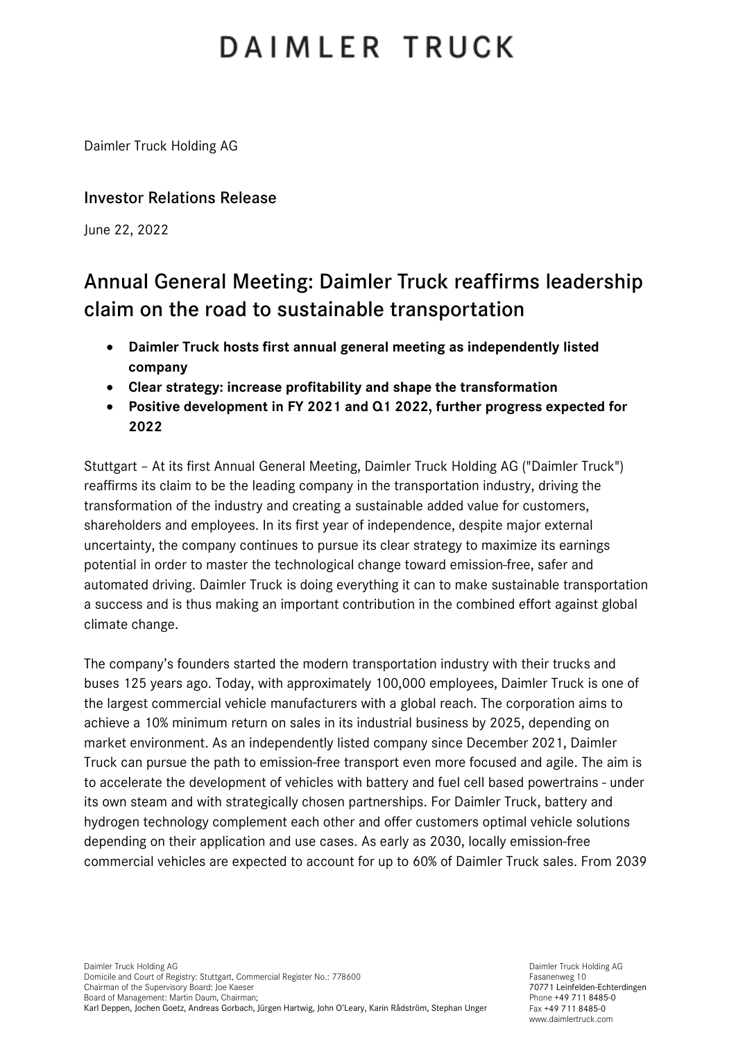# DAIMLER TRUCK

Daimler Truck Holding AG

# Investor Relations Release

June 22, 2022

# Annual General Meeting: Daimler Truck reaffirms leadership claim on the road to sustainable transportation

- **Daimler Truck hosts first annual general meeting as independently listed company**
- **Clear strategy: increase profitability and shape the transformation**
- **Positive development in FY 2021 and Q1 2022, further progress expected for 2022**

Stuttgart – At its first Annual General Meeting, Daimler Truck Holding AG ("Daimler Truck") reaffirms its claim to be the leading company in the transportation industry, driving the transformation of the industry and creating a sustainable added value for customers, shareholders and employees. In its first year of independence, despite major external uncertainty, the company continues to pursue its clear strategy to maximize its earnings potential in order to master the technological change toward emission-free, safer and automated driving. Daimler Truck is doing everything it can to make sustainable transportation a success and is thus making an important contribution in the combined effort against global climate change.

The company's founders started the modern transportation industry with their trucks and buses 125 years ago. Today, with approximately 100,000 employees, Daimler Truck is one of the largest commercial vehicle manufacturers with a global reach. The corporation aims to achieve a 10% minimum return on sales in its industrial business by 2025, depending on market environment. As an independently listed company since December 2021, Daimler Truck can pursue the path to emission-free transport even more focused and agile. The aim is to accelerate the development of vehicles with battery and fuel cell based powertrains - under its own steam and with strategically chosen partnerships. For Daimler Truck, battery and hydrogen technology complement each other and offer customers optimal vehicle solutions depending on their application and use cases. As early as 2030, locally emission-free commercial vehicles are expected to account for up to 60% of Daimler Truck sales. From 2039

Daimler Truck Holding AG Fasanenweg 10 70771 Leinfelden-Echterdingen Phone +49 711 8485-0 Fax +49 711 8485-0 www.daimlertruck.com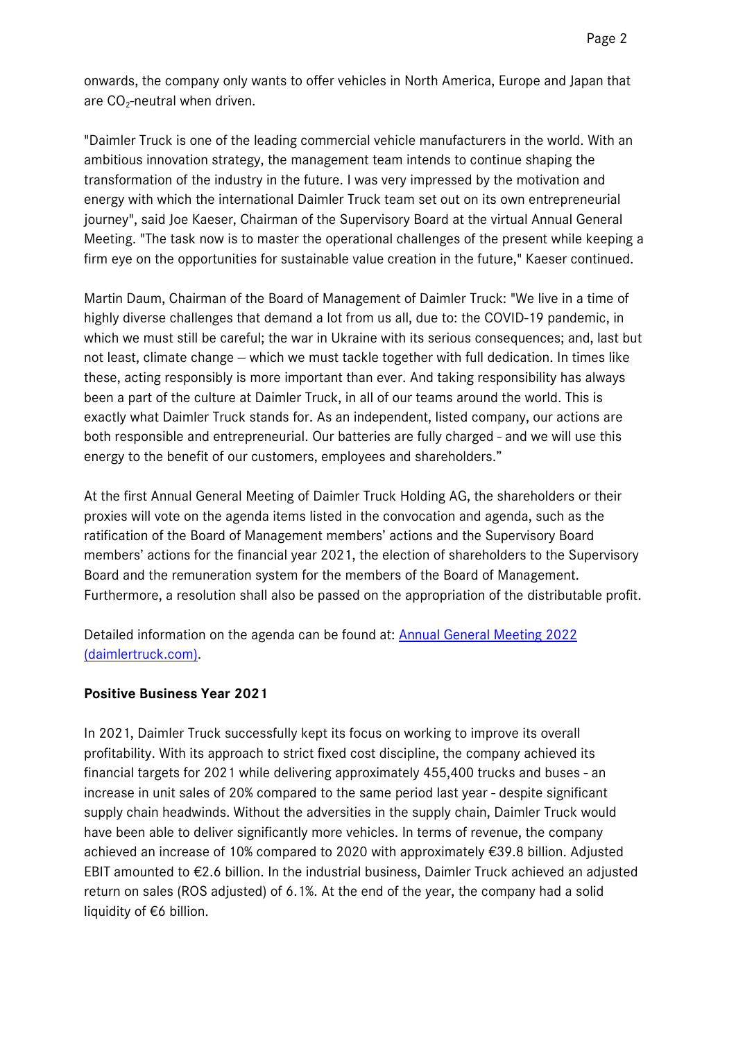"Daimler Truck is one of the leading commercial vehicle manufacturers in the world. With an ambitious innovation strategy, the management team intends to continue shaping the transformation of the industry in the future. I was very impressed by the motivation and energy with which the international Daimler Truck team set out on its own entrepreneurial journey", said Joe Kaeser, Chairman of the Supervisory Board at the virtual Annual General Meeting. "The task now is to master the operational challenges of the present while keeping a firm eye on the opportunities for sustainable value creation in the future," Kaeser continued.

Martin Daum, Chairman of the Board of Management of Daimler Truck: "We live in a time of highly diverse challenges that demand a lot from us all, due to: the COVID-19 pandemic, in which we must still be careful; the war in Ukraine with its serious consequences; and, last but not least, climate change -- which we must tackle together with full dedication. In times like these, acting responsibly is more important than ever. And taking responsibility has always been a part of the culture at Daimler Truck, in all of our teams around the world. This is exactly what Daimler Truck stands for. As an independent, listed company, our actions are both responsible and entrepreneurial. Our batteries are fully charged - and we will use this energy to the benefit of our customers, employees and shareholders."

At the first Annual General Meeting of Daimler Truck Holding AG, the shareholders or their proxies will vote on the agenda items listed in the convocation and agenda, such as the ratification of the Board of Management members' actions and the Supervisory Board members' actions for the financial year 2021, the election of shareholders to the Supervisory Board and the remuneration system for the members of the Board of Management. Furthermore, a resolution shall also be passed on the appropriation of the distributable profit.

Detailed information on the agenda can be found at: [Annual General Meeting 2022](https://www.daimlertruck.com/agm-2022/)  [\(daimlertruck.com\).](https://www.daimlertruck.com/agm-2022/)

# **Positive Business Year 2021**

In 2021, Daimler Truck successfully kept its focus on working to improve its overall profitability. With its approach to strict fixed cost discipline, the company achieved its financial targets for 2021 while delivering approximately 455,400 trucks and buses - an increase in unit sales of 20% compared to the same period last year - despite significant supply chain headwinds. Without the adversities in the supply chain, Daimler Truck would have been able to deliver significantly more vehicles. In terms of revenue, the company achieved an increase of 10% compared to 2020 with approximately €39.8 billion. Adjusted EBIT amounted to €2.6 billion. In the industrial business, Daimler Truck achieved an adjusted return on sales (ROS adjusted) of 6.1%. At the end of the year, the company had a solid liquidity of €6 billion.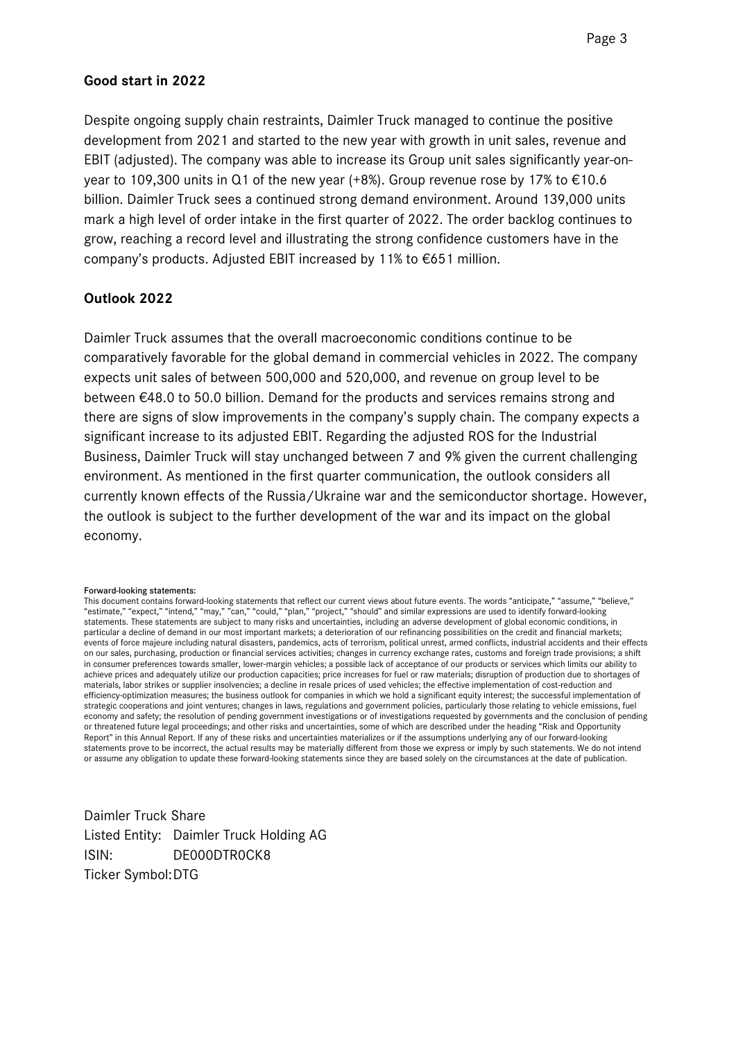#### **Good start in 2022**

Despite ongoing supply chain restraints, Daimler Truck managed to continue the positive development from 2021 and started to the new year with growth in unit sales, revenue and EBIT (adjusted). The company was able to increase its Group unit sales significantly year-onyear to 109,300 units in Q1 of the new year (+8%). Group revenue rose by 17% to  $€10.6$ billion. Daimler Truck sees a continued strong demand environment. Around 139,000 units mark a high level of order intake in the first quarter of 2022. The order backlog continues to grow, reaching a record level and illustrating the strong confidence customers have in the company's products. Adjusted EBIT increased by 11% to €651 million.

#### **Outlook 2022**

Daimler Truck assumes that the overall macroeconomic conditions continue to be comparatively favorable for the global demand in commercial vehicles in 2022. The company expects unit sales of between 500,000 and 520,000, and revenue on group level to be between €48.0 to 50.0 billion. Demand for the products and services remains strong and there are signs of slow improvements in the company's supply chain. The company expects a significant increase to its adjusted EBIT. Regarding the adjusted ROS for the Industrial Business, Daimler Truck will stay unchanged between 7 and 9% given the current challenging environment. As mentioned in the first quarter communication, the outlook considers all currently known effects of the Russia/Ukraine war and the semiconductor shortage. However, the outlook is subject to the further development of the war and its impact on the global economy.

#### Forward-looking statements:

This document contains forward-looking statements that reflect our current views about future events. The words "anticipate," "assume," "believe," "estimate," "expect," "intend," "may," "can," "could," "plan," "project," "should" and similar expressions are used to identify forward-looking statements. These statements are subject to many risks and uncertainties, including an adverse development of global economic conditions, in particular a decline of demand in our most important markets; a deterioration of our refinancing possibilities on the credit and financial markets; events of force majeure including natural disasters, pandemics, acts of terrorism, political unrest, armed conflicts, industrial accidents and their effects on our sales, purchasing, production or financial services activities; changes in currency exchange rates, customs and foreign trade provisions; a shift in consumer preferences towards smaller, lower-margin vehicles; a possible lack of acceptance of our products or services which limits our ability to achieve prices and adequately utilize our production capacities; price increases for fuel or raw materials; disruption of production due to shortages of materials, labor strikes or supplier insolvencies; a decline in resale prices of used vehicles; the effective implementation of cost-reduction and efficiency-optimization measures; the business outlook for companies in which we hold a significant equity interest; the successful implementation of strategic cooperations and joint ventures; changes in laws, regulations and government policies, particularly those relating to vehicle emissions, fuel economy and safety; the resolution of pending government investigations or of investigations requested by governments and the conclusion of pending or threatened future legal proceedings; and other risks and uncertainties, some of which are described under the heading "Risk and Opportunity Report" in this Annual Report. If any of these risks and uncertainties materializes or if the assumptions underlying any of our forward-looking statements prove to be incorrect, the actual results may be materially different from those we express or imply by such statements. We do not intend or assume any obligation to update these forward-looking statements since they are based solely on the circumstances at the date of publication.

Daimler Truck Share Listed Entity: Daimler Truck Holding AG ISIN: DE000DTR0CK8 Ticker Symbol:DTG